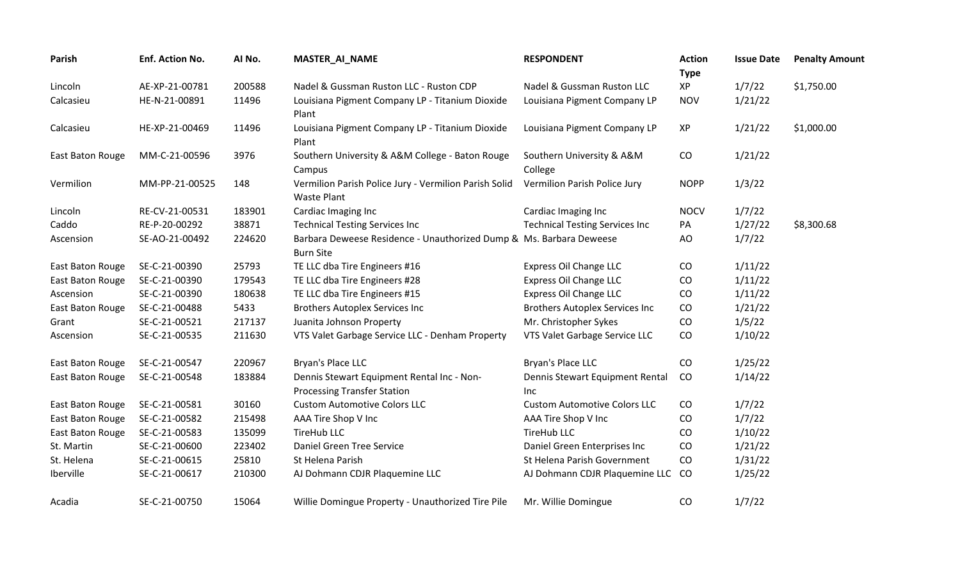| <b>Parish</b>    | Enf. Action No. | AI No. | <b>MASTER_AI_NAME</b>                                                                   | <b>RESPONDENT</b>                       | <b>Action</b><br><b>Type</b> | <b>Issue Date</b> | <b>Penalty Amount</b> |
|------------------|-----------------|--------|-----------------------------------------------------------------------------------------|-----------------------------------------|------------------------------|-------------------|-----------------------|
| Lincoln          | AE-XP-21-00781  | 200588 | Nadel & Gussman Ruston LLC - Ruston CDP                                                 | Nadel & Gussman Ruston LLC              | XP                           | 1/7/22            | \$1,750.00            |
| Calcasieu        | HE-N-21-00891   | 11496  | Louisiana Pigment Company LP - Titanium Dioxide<br>Plant                                | Louisiana Pigment Company LP            | <b>NOV</b>                   | 1/21/22           |                       |
| Calcasieu        | HE-XP-21-00469  | 11496  | Louisiana Pigment Company LP - Titanium Dioxide<br>Plant                                | Louisiana Pigment Company LP            | XP                           | 1/21/22           | \$1,000.00            |
| East Baton Rouge | MM-C-21-00596   | 3976   | Southern University & A&M College - Baton Rouge<br>Campus                               | Southern University & A&M<br>College    | CO                           | 1/21/22           |                       |
| Vermilion        | MM-PP-21-00525  | 148    | Vermilion Parish Police Jury - Vermilion Parish Solid<br><b>Waste Plant</b>             | Vermilion Parish Police Jury            | <b>NOPP</b>                  | 1/3/22            |                       |
| Lincoln          | RE-CV-21-00531  | 183901 | Cardiac Imaging Inc                                                                     | Cardiac Imaging Inc                     | <b>NOCV</b>                  | 1/7/22            |                       |
| Caddo            | RE-P-20-00292   | 38871  | <b>Technical Testing Services Inc</b>                                                   | <b>Technical Testing Services Inc</b>   | PA                           | 1/27/22           | \$8,300.68            |
| Ascension        | SE-AO-21-00492  | 224620 | Barbara Deweese Residence - Unauthorized Dump & Ms. Barbara Deweese<br><b>Burn Site</b> |                                         | AO                           | 1/7/22            |                       |
| East Baton Rouge | SE-C-21-00390   | 25793  | TE LLC dba Tire Engineers #16                                                           | Express Oil Change LLC                  | CO                           | 1/11/22           |                       |
| East Baton Rouge | SE-C-21-00390   | 179543 | TE LLC dba Tire Engineers #28                                                           | Express Oil Change LLC                  | CO                           | 1/11/22           |                       |
| Ascension        | SE-C-21-00390   | 180638 | TE LLC dba Tire Engineers #15                                                           | Express Oil Change LLC                  | CO                           | 1/11/22           |                       |
| East Baton Rouge | SE-C-21-00488   | 5433   | <b>Brothers Autoplex Services Inc</b>                                                   | <b>Brothers Autoplex Services Inc</b>   | CO                           | 1/21/22           |                       |
| Grant            | SE-C-21-00521   | 217137 | Juanita Johnson Property                                                                | Mr. Christopher Sykes                   | CO                           | 1/5/22            |                       |
| Ascension        | SE-C-21-00535   | 211630 | VTS Valet Garbage Service LLC - Denham Property                                         | VTS Valet Garbage Service LLC           | CO                           | 1/10/22           |                       |
| East Baton Rouge | SE-C-21-00547   | 220967 | Bryan's Place LLC                                                                       | Bryan's Place LLC                       | CO                           | 1/25/22           |                       |
| East Baton Rouge | SE-C-21-00548   | 183884 | Dennis Stewart Equipment Rental Inc - Non-<br><b>Processing Transfer Station</b>        | Dennis Stewart Equipment Rental<br>Inc. | CO                           | 1/14/22           |                       |
| East Baton Rouge | SE-C-21-00581   | 30160  | <b>Custom Automotive Colors LLC</b>                                                     | <b>Custom Automotive Colors LLC</b>     | CO                           | 1/7/22            |                       |
| East Baton Rouge | SE-C-21-00582   | 215498 | AAA Tire Shop V Inc                                                                     | AAA Tire Shop V Inc                     | CO                           | 1/7/22            |                       |
| East Baton Rouge | SE-C-21-00583   | 135099 | <b>TireHub LLC</b>                                                                      | <b>TireHub LLC</b>                      | CO                           | 1/10/22           |                       |
| St. Martin       | SE-C-21-00600   | 223402 | Daniel Green Tree Service                                                               | Daniel Green Enterprises Inc            | CO                           | 1/21/22           |                       |
| St. Helena       | SE-C-21-00615   | 25810  | St Helena Parish                                                                        | St Helena Parish Government             | CO                           | 1/31/22           |                       |
| Iberville        | SE-C-21-00617   | 210300 | AJ Dohmann CDJR Plaquemine LLC                                                          | AJ Dohmann CDJR Plaquemine LLC          | CO                           | 1/25/22           |                       |
| Acadia           | SE-C-21-00750   | 15064  | Willie Domingue Property - Unauthorized Tire Pile                                       | Mr. Willie Domingue                     | CO                           | 1/7/22            |                       |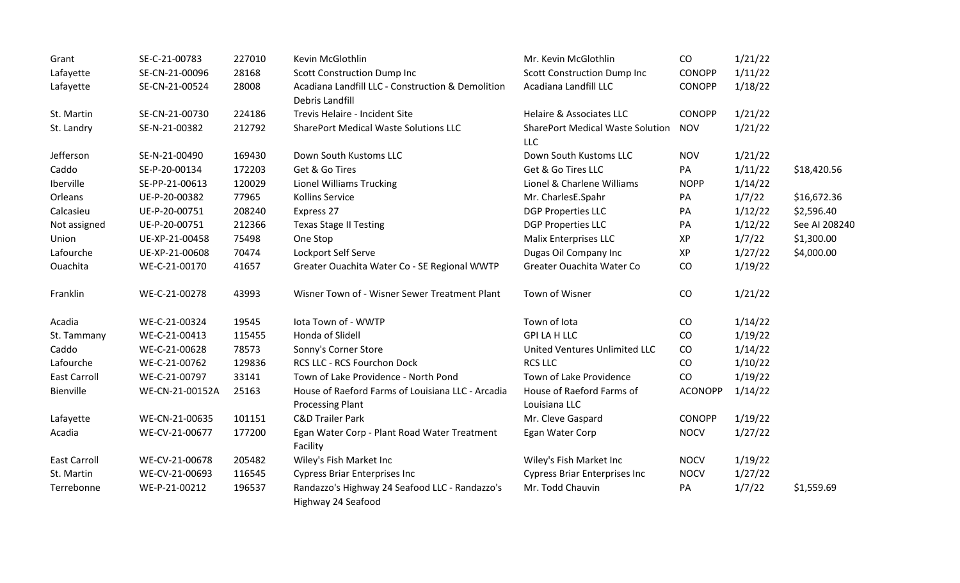| Grant               | SE-C-21-00783   | 227010 | Kevin McGlothlin                                                     | Mr. Kevin McGlothlin                                  | CO             | 1/21/22 |               |
|---------------------|-----------------|--------|----------------------------------------------------------------------|-------------------------------------------------------|----------------|---------|---------------|
| Lafayette           | SE-CN-21-00096  | 28168  | <b>Scott Construction Dump Inc</b>                                   | <b>Scott Construction Dump Inc</b>                    | <b>CONOPP</b>  | 1/11/22 |               |
| Lafayette           | SE-CN-21-00524  | 28008  | Acadiana Landfill LLC - Construction & Demolition<br>Debris Landfill | Acadiana Landfill LLC                                 | <b>CONOPP</b>  | 1/18/22 |               |
| St. Martin          | SE-CN-21-00730  | 224186 | Trevis Helaire - Incident Site                                       | <b>Helaire &amp; Associates LLC</b>                   | <b>CONOPP</b>  | 1/21/22 |               |
| St. Landry          | SE-N-21-00382   | 212792 | <b>SharePort Medical Waste Solutions LLC</b>                         | <b>SharePort Medical Waste Solution</b><br><b>LLC</b> | <b>NOV</b>     | 1/21/22 |               |
| Jefferson           | SE-N-21-00490   | 169430 | Down South Kustoms LLC                                               | Down South Kustoms LLC                                | <b>NOV</b>     | 1/21/22 |               |
| Caddo               | SE-P-20-00134   | 172203 | Get & Go Tires                                                       | Get & Go Tires LLC                                    | PA             | 1/11/22 | \$18,420.56   |
| Iberville           | SE-PP-21-00613  | 120029 | <b>Lionel Williams Trucking</b>                                      | Lionel & Charlene Williams                            | <b>NOPP</b>    | 1/14/22 |               |
| Orleans             | UE-P-20-00382   | 77965  | Kollins Service                                                      | Mr. CharlesE.Spahr                                    | PA             | 1/7/22  | \$16,672.36   |
| Calcasieu           | UE-P-20-00751   | 208240 | Express 27                                                           | <b>DGP Properties LLC</b>                             | PA             | 1/12/22 | \$2,596.40    |
| Not assigned        | UE-P-20-00751   | 212366 | <b>Texas Stage II Testing</b>                                        | <b>DGP Properties LLC</b>                             | PA             | 1/12/22 | See AI 208240 |
| Union               | UE-XP-21-00458  | 75498  | One Stop                                                             | Malix Enterprises LLC                                 | XP             | 1/7/22  | \$1,300.00    |
| Lafourche           | UE-XP-21-00608  | 70474  | Lockport Self Serve                                                  | Dugas Oil Company Inc                                 | <b>XP</b>      | 1/27/22 | \$4,000.00    |
| Ouachita            | WE-C-21-00170   | 41657  | Greater Ouachita Water Co - SE Regional WWTP                         | Greater Ouachita Water Co                             | CO             | 1/19/22 |               |
| Franklin            | WE-C-21-00278   | 43993  | Wisner Town of - Wisner Sewer Treatment Plant                        | Town of Wisner                                        | CO             | 1/21/22 |               |
| Acadia              | WE-C-21-00324   | 19545  | lota Town of - WWTP                                                  | Town of Iota                                          | CO             | 1/14/22 |               |
| St. Tammany         | WE-C-21-00413   | 115455 | Honda of Slidell                                                     | <b>GPI LA H LLC</b>                                   | CO             | 1/19/22 |               |
| Caddo               | WE-C-21-00628   | 78573  | Sonny's Corner Store                                                 | United Ventures Unlimited LLC                         | CO             | 1/14/22 |               |
| Lafourche           | WE-C-21-00762   | 129836 | RCS LLC - RCS Fourchon Dock                                          | <b>RCS LLC</b>                                        | CO             | 1/10/22 |               |
| <b>East Carroll</b> | WE-C-21-00797   | 33141  | Town of Lake Providence - North Pond                                 | Town of Lake Providence                               | CO             | 1/19/22 |               |
| Bienville           | WE-CN-21-00152A | 25163  | House of Raeford Farms of Louisiana LLC - Arcadia                    | House of Raeford Farms of                             | <b>ACONOPP</b> | 1/14/22 |               |
|                     |                 |        | <b>Processing Plant</b>                                              | Louisiana LLC                                         |                |         |               |
| Lafayette           | WE-CN-21-00635  | 101151 | <b>C&amp;D Trailer Park</b>                                          | Mr. Cleve Gaspard                                     | <b>CONOPP</b>  | 1/19/22 |               |
| Acadia              | WE-CV-21-00677  | 177200 | Egan Water Corp - Plant Road Water Treatment<br>Facility             | Egan Water Corp                                       | <b>NOCV</b>    | 1/27/22 |               |
| <b>East Carroll</b> | WE-CV-21-00678  | 205482 | Wiley's Fish Market Inc                                              | Wiley's Fish Market Inc                               | <b>NOCV</b>    | 1/19/22 |               |
| St. Martin          | WE-CV-21-00693  | 116545 | <b>Cypress Briar Enterprises Inc</b>                                 | <b>Cypress Briar Enterprises Inc</b>                  | <b>NOCV</b>    | 1/27/22 |               |
| Terrebonne          | WE-P-21-00212   | 196537 | Randazzo's Highway 24 Seafood LLC - Randazzo's<br>Highway 24 Seafood | Mr. Todd Chauvin                                      | PA             | 1/7/22  | \$1,559.69    |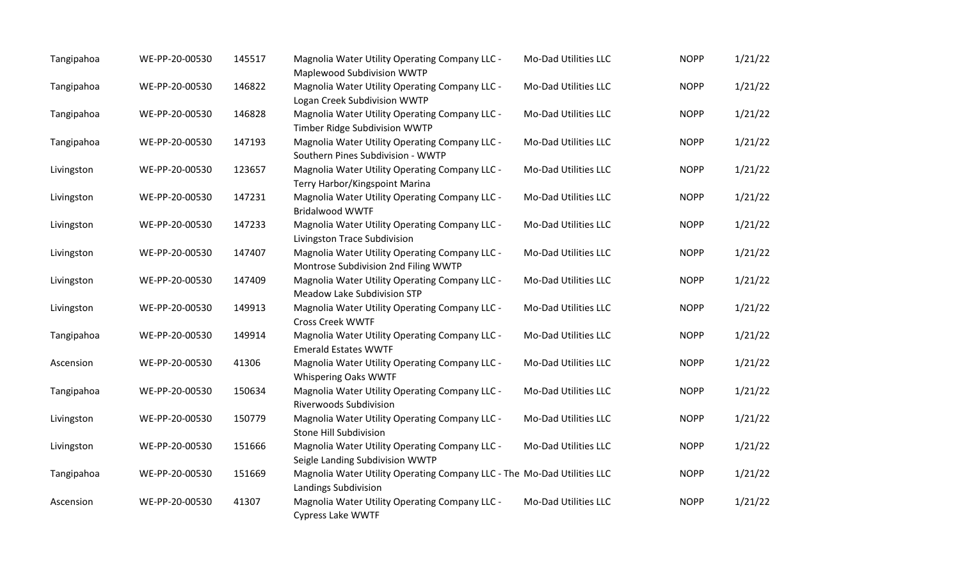| Tangipahoa | WE-PP-20-00530 | 145517 | Magnolia Water Utility Operating Company LLC -<br>Maplewood Subdivision WWTP                    | Mo-Dad Utilities LLC | <b>NOPP</b> | 1/21/22 |
|------------|----------------|--------|-------------------------------------------------------------------------------------------------|----------------------|-------------|---------|
| Tangipahoa | WE-PP-20-00530 | 146822 | Magnolia Water Utility Operating Company LLC -<br>Logan Creek Subdivision WWTP                  | Mo-Dad Utilities LLC | <b>NOPP</b> | 1/21/22 |
| Tangipahoa | WE-PP-20-00530 | 146828 | Magnolia Water Utility Operating Company LLC -<br>Timber Ridge Subdivision WWTP                 | Mo-Dad Utilities LLC | <b>NOPP</b> | 1/21/22 |
| Tangipahoa | WE-PP-20-00530 | 147193 | Magnolia Water Utility Operating Company LLC -<br>Southern Pines Subdivision - WWTP             | Mo-Dad Utilities LLC | <b>NOPP</b> | 1/21/22 |
| Livingston | WE-PP-20-00530 | 123657 | Magnolia Water Utility Operating Company LLC -<br>Terry Harbor/Kingspoint Marina                | Mo-Dad Utilities LLC | <b>NOPP</b> | 1/21/22 |
| Livingston | WE-PP-20-00530 | 147231 | Magnolia Water Utility Operating Company LLC -<br><b>Bridalwood WWTF</b>                        | Mo-Dad Utilities LLC | <b>NOPP</b> | 1/21/22 |
| Livingston | WE-PP-20-00530 | 147233 | Magnolia Water Utility Operating Company LLC -<br>Livingston Trace Subdivision                  | Mo-Dad Utilities LLC | <b>NOPP</b> | 1/21/22 |
| Livingston | WE-PP-20-00530 | 147407 | Magnolia Water Utility Operating Company LLC -<br>Montrose Subdivision 2nd Filing WWTP          | Mo-Dad Utilities LLC | <b>NOPP</b> | 1/21/22 |
| Livingston | WE-PP-20-00530 | 147409 | Magnolia Water Utility Operating Company LLC -<br><b>Meadow Lake Subdivision STP</b>            | Mo-Dad Utilities LLC | <b>NOPP</b> | 1/21/22 |
| Livingston | WE-PP-20-00530 | 149913 | Magnolia Water Utility Operating Company LLC -<br><b>Cross Creek WWTF</b>                       | Mo-Dad Utilities LLC | <b>NOPP</b> | 1/21/22 |
| Tangipahoa | WE-PP-20-00530 | 149914 | Magnolia Water Utility Operating Company LLC -<br><b>Emerald Estates WWTF</b>                   | Mo-Dad Utilities LLC | <b>NOPP</b> | 1/21/22 |
| Ascension  | WE-PP-20-00530 | 41306  | Magnolia Water Utility Operating Company LLC -<br><b>Whispering Oaks WWTF</b>                   | Mo-Dad Utilities LLC | <b>NOPP</b> | 1/21/22 |
| Tangipahoa | WE-PP-20-00530 | 150634 | Magnolia Water Utility Operating Company LLC -<br><b>Riverwoods Subdivision</b>                 | Mo-Dad Utilities LLC | <b>NOPP</b> | 1/21/22 |
| Livingston | WE-PP-20-00530 | 150779 | Magnolia Water Utility Operating Company LLC -<br>Stone Hill Subdivision                        | Mo-Dad Utilities LLC | <b>NOPP</b> | 1/21/22 |
| Livingston | WE-PP-20-00530 | 151666 | Magnolia Water Utility Operating Company LLC -<br>Seigle Landing Subdivision WWTP               | Mo-Dad Utilities LLC | <b>NOPP</b> | 1/21/22 |
| Tangipahoa | WE-PP-20-00530 | 151669 | Magnolia Water Utility Operating Company LLC - The Mo-Dad Utilities LLC<br>Landings Subdivision |                      | <b>NOPP</b> | 1/21/22 |
| Ascension  | WE-PP-20-00530 | 41307  | Magnolia Water Utility Operating Company LLC -<br><b>Cypress Lake WWTF</b>                      | Mo-Dad Utilities LLC | <b>NOPP</b> | 1/21/22 |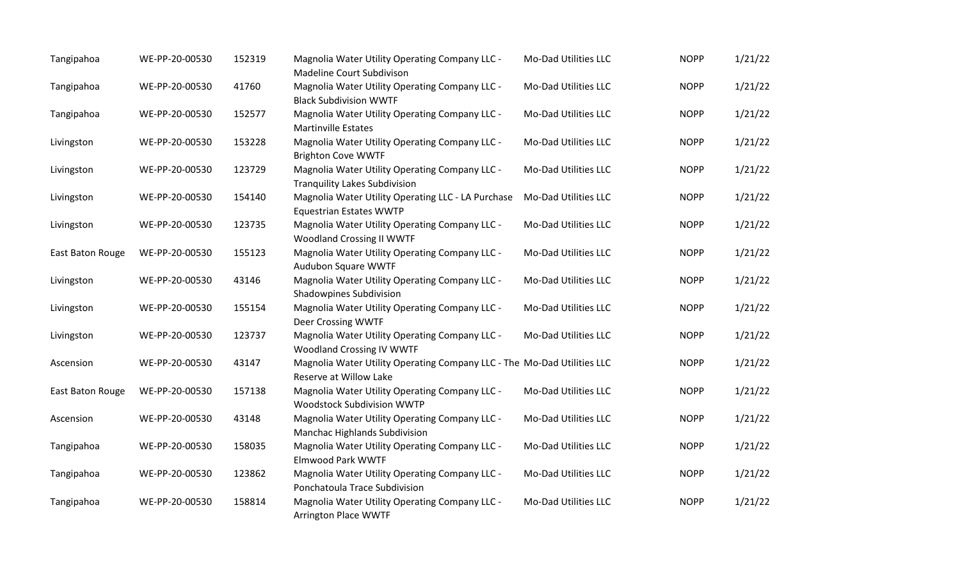| Tangipahoa       | WE-PP-20-00530 | 152319 | Magnolia Water Utility Operating Company LLC -<br><b>Madeline Court Subdivison</b>                | Mo-Dad Utilities LLC | <b>NOPP</b> | 1/21/22 |
|------------------|----------------|--------|---------------------------------------------------------------------------------------------------|----------------------|-------------|---------|
| Tangipahoa       | WE-PP-20-00530 | 41760  | Magnolia Water Utility Operating Company LLC -<br><b>Black Subdivision WWTF</b>                   | Mo-Dad Utilities LLC | <b>NOPP</b> | 1/21/22 |
| Tangipahoa       | WE-PP-20-00530 | 152577 | Magnolia Water Utility Operating Company LLC -<br><b>Martinville Estates</b>                      | Mo-Dad Utilities LLC | <b>NOPP</b> | 1/21/22 |
| Livingston       | WE-PP-20-00530 | 153228 | Magnolia Water Utility Operating Company LLC -<br><b>Brighton Cove WWTF</b>                       | Mo-Dad Utilities LLC | <b>NOPP</b> | 1/21/22 |
| Livingston       | WE-PP-20-00530 | 123729 | Magnolia Water Utility Operating Company LLC -<br><b>Tranquility Lakes Subdivision</b>            | Mo-Dad Utilities LLC | <b>NOPP</b> | 1/21/22 |
| Livingston       | WE-PP-20-00530 | 154140 | Magnolia Water Utility Operating LLC - LA Purchase<br><b>Equestrian Estates WWTP</b>              | Mo-Dad Utilities LLC | <b>NOPP</b> | 1/21/22 |
| Livingston       | WE-PP-20-00530 | 123735 | Magnolia Water Utility Operating Company LLC -<br><b>Woodland Crossing II WWTF</b>                | Mo-Dad Utilities LLC | <b>NOPP</b> | 1/21/22 |
| East Baton Rouge | WE-PP-20-00530 | 155123 | Magnolia Water Utility Operating Company LLC -<br>Audubon Square WWTF                             | Mo-Dad Utilities LLC | <b>NOPP</b> | 1/21/22 |
| Livingston       | WE-PP-20-00530 | 43146  | Magnolia Water Utility Operating Company LLC -<br><b>Shadowpines Subdivision</b>                  | Mo-Dad Utilities LLC | <b>NOPP</b> | 1/21/22 |
| Livingston       | WE-PP-20-00530 | 155154 | Magnolia Water Utility Operating Company LLC -<br>Deer Crossing WWTF                              | Mo-Dad Utilities LLC | <b>NOPP</b> | 1/21/22 |
| Livingston       | WE-PP-20-00530 | 123737 | Magnolia Water Utility Operating Company LLC -<br><b>Woodland Crossing IV WWTF</b>                | Mo-Dad Utilities LLC | <b>NOPP</b> | 1/21/22 |
| Ascension        | WE-PP-20-00530 | 43147  | Magnolia Water Utility Operating Company LLC - The Mo-Dad Utilities LLC<br>Reserve at Willow Lake |                      | <b>NOPP</b> | 1/21/22 |
| East Baton Rouge | WE-PP-20-00530 | 157138 | Magnolia Water Utility Operating Company LLC -<br>Woodstock Subdivision WWTP                      | Mo-Dad Utilities LLC | <b>NOPP</b> | 1/21/22 |
| Ascension        | WE-PP-20-00530 | 43148  | Magnolia Water Utility Operating Company LLC -<br><b>Manchac Highlands Subdivision</b>            | Mo-Dad Utilities LLC | <b>NOPP</b> | 1/21/22 |
| Tangipahoa       | WE-PP-20-00530 | 158035 | Magnolia Water Utility Operating Company LLC -<br><b>Elmwood Park WWTF</b>                        | Mo-Dad Utilities LLC | <b>NOPP</b> | 1/21/22 |
| Tangipahoa       | WE-PP-20-00530 | 123862 | Magnolia Water Utility Operating Company LLC -<br>Ponchatoula Trace Subdivision                   | Mo-Dad Utilities LLC | <b>NOPP</b> | 1/21/22 |
| Tangipahoa       | WE-PP-20-00530 | 158814 | Magnolia Water Utility Operating Company LLC -<br><b>Arrington Place WWTF</b>                     | Mo-Dad Utilities LLC | <b>NOPP</b> | 1/21/22 |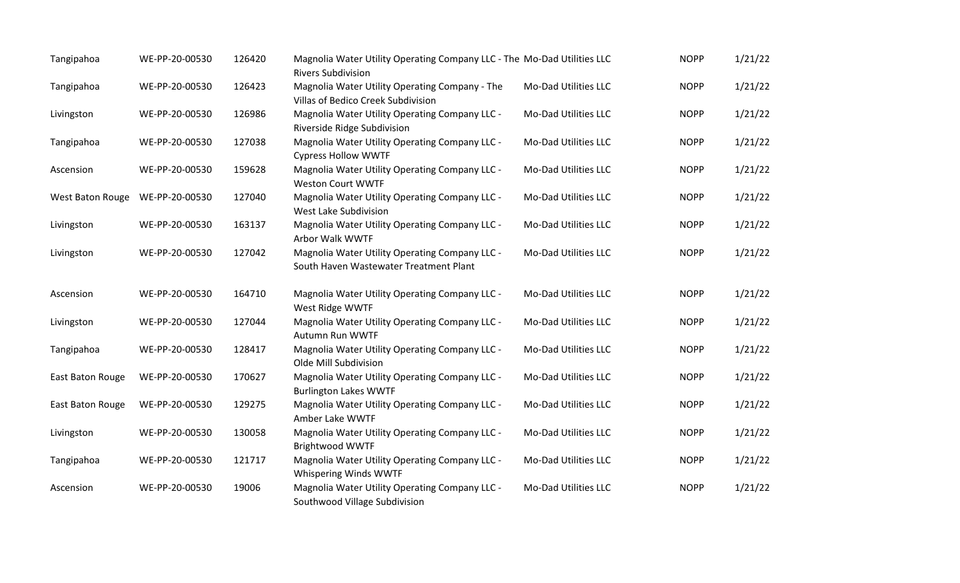| Tangipahoa       | WE-PP-20-00530 | 126420 | Magnolia Water Utility Operating Company LLC - The Mo-Dad Utilities LLC<br><b>Rivers Subdivision</b> |                             | <b>NOPP</b> | 1/21/22 |
|------------------|----------------|--------|------------------------------------------------------------------------------------------------------|-----------------------------|-------------|---------|
| Tangipahoa       | WE-PP-20-00530 | 126423 | Magnolia Water Utility Operating Company - The<br>Villas of Bedico Creek Subdivision                 | Mo-Dad Utilities LLC        | <b>NOPP</b> | 1/21/22 |
| Livingston       | WE-PP-20-00530 | 126986 | Magnolia Water Utility Operating Company LLC -<br>Riverside Ridge Subdivision                        | Mo-Dad Utilities LLC        | <b>NOPP</b> | 1/21/22 |
| Tangipahoa       | WE-PP-20-00530 | 127038 | Magnolia Water Utility Operating Company LLC -<br><b>Cypress Hollow WWTF</b>                         | Mo-Dad Utilities LLC        | <b>NOPP</b> | 1/21/22 |
| Ascension        | WE-PP-20-00530 | 159628 | Magnolia Water Utility Operating Company LLC -<br><b>Weston Court WWTF</b>                           | Mo-Dad Utilities LLC        | <b>NOPP</b> | 1/21/22 |
| West Baton Rouge | WE-PP-20-00530 | 127040 | Magnolia Water Utility Operating Company LLC -<br>West Lake Subdivision                              | Mo-Dad Utilities LLC        | <b>NOPP</b> | 1/21/22 |
| Livingston       | WE-PP-20-00530 | 163137 | Magnolia Water Utility Operating Company LLC -<br>Arbor Walk WWTF                                    | Mo-Dad Utilities LLC        | <b>NOPP</b> | 1/21/22 |
| Livingston       | WE-PP-20-00530 | 127042 | Magnolia Water Utility Operating Company LLC -<br>South Haven Wastewater Treatment Plant             | Mo-Dad Utilities LLC        | <b>NOPP</b> | 1/21/22 |
| Ascension        | WE-PP-20-00530 | 164710 | Magnolia Water Utility Operating Company LLC -<br>West Ridge WWTF                                    | Mo-Dad Utilities LLC        | <b>NOPP</b> | 1/21/22 |
| Livingston       | WE-PP-20-00530 | 127044 | Magnolia Water Utility Operating Company LLC -<br>Autumn Run WWTF                                    | Mo-Dad Utilities LLC        | <b>NOPP</b> | 1/21/22 |
| Tangipahoa       | WE-PP-20-00530 | 128417 | Magnolia Water Utility Operating Company LLC -<br>Olde Mill Subdivision                              | Mo-Dad Utilities LLC        | <b>NOPP</b> | 1/21/22 |
| East Baton Rouge | WE-PP-20-00530 | 170627 | Magnolia Water Utility Operating Company LLC -<br><b>Burlington Lakes WWTF</b>                       | Mo-Dad Utilities LLC        | <b>NOPP</b> | 1/21/22 |
| East Baton Rouge | WE-PP-20-00530 | 129275 | Magnolia Water Utility Operating Company LLC -<br>Amber Lake WWTF                                    | Mo-Dad Utilities LLC        | <b>NOPP</b> | 1/21/22 |
| Livingston       | WE-PP-20-00530 | 130058 | Magnolia Water Utility Operating Company LLC -<br><b>Brightwood WWTF</b>                             | Mo-Dad Utilities LLC        | <b>NOPP</b> | 1/21/22 |
| Tangipahoa       | WE-PP-20-00530 | 121717 | Magnolia Water Utility Operating Company LLC -<br>Whispering Winds WWTF                              | Mo-Dad Utilities LLC        | <b>NOPP</b> | 1/21/22 |
| Ascension        | WE-PP-20-00530 | 19006  | Magnolia Water Utility Operating Company LLC -<br>Southwood Village Subdivision                      | <b>Mo-Dad Utilities LLC</b> | <b>NOPP</b> | 1/21/22 |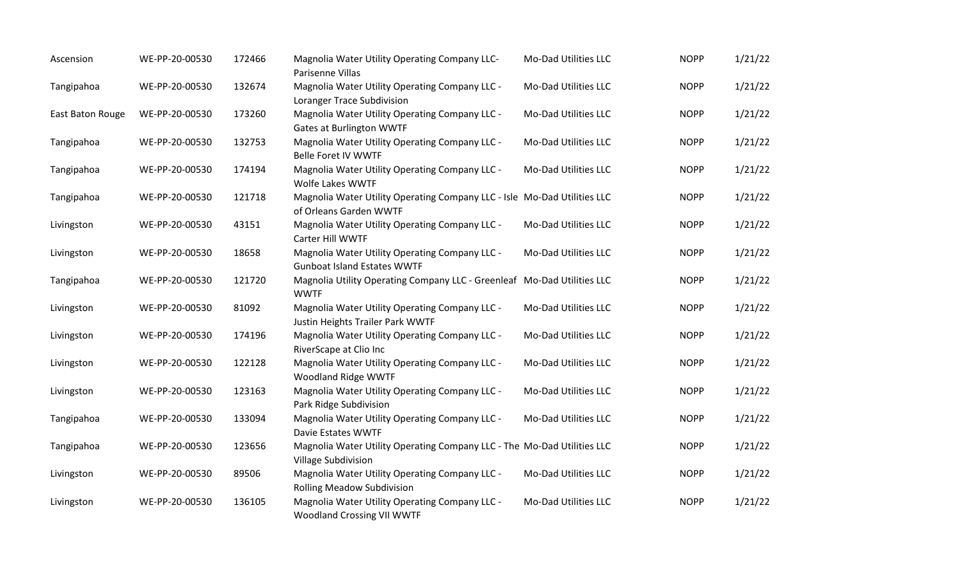| Ascension        | WE-PP-20-00530 | 172466 | Magnolia Water Utility Operating Company LLC-<br>Parisenne Villas                                  | Mo-Dad Utilities LLC | <b>NOPP</b> | 1/21/22 |
|------------------|----------------|--------|----------------------------------------------------------------------------------------------------|----------------------|-------------|---------|
| Tangipahoa       | WE-PP-20-00530 | 132674 | Magnolia Water Utility Operating Company LLC -<br>Loranger Trace Subdivision                       | Mo-Dad Utilities LLC | <b>NOPP</b> | 1/21/22 |
| East Baton Rouge | WE-PP-20-00530 | 173260 | Magnolia Water Utility Operating Company LLC -<br><b>Gates at Burlington WWTF</b>                  | Mo-Dad Utilities LLC | <b>NOPP</b> | 1/21/22 |
| Tangipahoa       | WE-PP-20-00530 | 132753 | Magnolia Water Utility Operating Company LLC -<br>Belle Foret IV WWTF                              | Mo-Dad Utilities LLC | <b>NOPP</b> | 1/21/22 |
| Tangipahoa       | WE-PP-20-00530 | 174194 | Magnolia Water Utility Operating Company LLC -<br>Wolfe Lakes WWTF                                 | Mo-Dad Utilities LLC | <b>NOPP</b> | 1/21/22 |
| Tangipahoa       | WE-PP-20-00530 | 121718 | Magnolia Water Utility Operating Company LLC - Isle Mo-Dad Utilities LLC<br>of Orleans Garden WWTF |                      | <b>NOPP</b> | 1/21/22 |
| Livingston       | WE-PP-20-00530 | 43151  | Magnolia Water Utility Operating Company LLC -<br>Carter Hill WWTF                                 | Mo-Dad Utilities LLC | <b>NOPP</b> | 1/21/22 |
| Livingston       | WE-PP-20-00530 | 18658  | Magnolia Water Utility Operating Company LLC -<br><b>Gunboat Island Estates WWTF</b>               | Mo-Dad Utilities LLC | <b>NOPP</b> | 1/21/22 |
| Tangipahoa       | WE-PP-20-00530 | 121720 | Magnolia Utility Operating Company LLC - Greenleaf Mo-Dad Utilities LLC<br><b>WWTF</b>             |                      | <b>NOPP</b> | 1/21/22 |
| Livingston       | WE-PP-20-00530 | 81092  | Magnolia Water Utility Operating Company LLC -<br>Justin Heights Trailer Park WWTF                 | Mo-Dad Utilities LLC | <b>NOPP</b> | 1/21/22 |
| Livingston       | WE-PP-20-00530 | 174196 | Magnolia Water Utility Operating Company LLC -<br>RiverScape at Clio Inc                           | Mo-Dad Utilities LLC | <b>NOPP</b> | 1/21/22 |
| Livingston       | WE-PP-20-00530 | 122128 | Magnolia Water Utility Operating Company LLC -<br>Woodland Ridge WWTF                              | Mo-Dad Utilities LLC | <b>NOPP</b> | 1/21/22 |
| Livingston       | WE-PP-20-00530 | 123163 | Magnolia Water Utility Operating Company LLC -<br>Park Ridge Subdivision                           | Mo-Dad Utilities LLC | <b>NOPP</b> | 1/21/22 |
| Tangipahoa       | WE-PP-20-00530 | 133094 | Magnolia Water Utility Operating Company LLC -<br>Davie Estates WWTF                               | Mo-Dad Utilities LLC | <b>NOPP</b> | 1/21/22 |
| Tangipahoa       | WE-PP-20-00530 | 123656 | Magnolia Water Utility Operating Company LLC - The Mo-Dad Utilities LLC<br>Village Subdivision     |                      | <b>NOPP</b> | 1/21/22 |
| Livingston       | WE-PP-20-00530 | 89506  | Magnolia Water Utility Operating Company LLC -<br><b>Rolling Meadow Subdivision</b>                | Mo-Dad Utilities LLC | <b>NOPP</b> | 1/21/22 |
| Livingston       | WE-PP-20-00530 | 136105 | Magnolia Water Utility Operating Company LLC -<br><b>Woodland Crossing VII WWTF</b>                | Mo-Dad Utilities LLC | <b>NOPP</b> | 1/21/22 |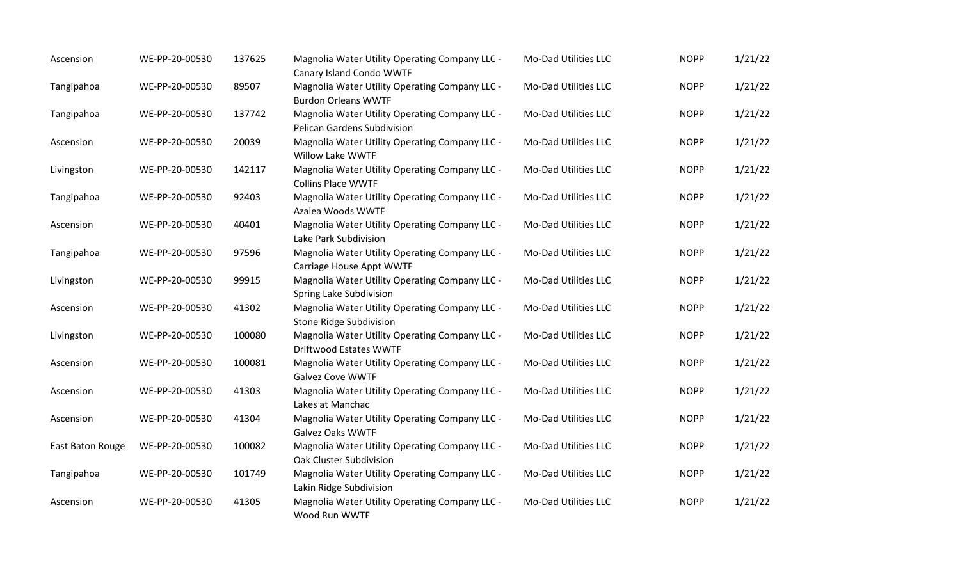| Ascension        | WE-PP-20-00530 | 137625 | Magnolia Water Utility Operating Company LLC -<br>Canary Island Condo WWTF       | Mo-Dad Utilities LLC | <b>NOPP</b> | 1/21/22 |
|------------------|----------------|--------|----------------------------------------------------------------------------------|----------------------|-------------|---------|
| Tangipahoa       | WE-PP-20-00530 | 89507  | Magnolia Water Utility Operating Company LLC -<br><b>Burdon Orleans WWTF</b>     | Mo-Dad Utilities LLC | <b>NOPP</b> | 1/21/22 |
| Tangipahoa       | WE-PP-20-00530 | 137742 | Magnolia Water Utility Operating Company LLC -<br>Pelican Gardens Subdivision    | Mo-Dad Utilities LLC | <b>NOPP</b> | 1/21/22 |
| Ascension        | WE-PP-20-00530 | 20039  | Magnolia Water Utility Operating Company LLC -<br>Willow Lake WWTF               | Mo-Dad Utilities LLC | <b>NOPP</b> | 1/21/22 |
| Livingston       | WE-PP-20-00530 | 142117 | Magnolia Water Utility Operating Company LLC -<br><b>Collins Place WWTF</b>      | Mo-Dad Utilities LLC | <b>NOPP</b> | 1/21/22 |
| Tangipahoa       | WE-PP-20-00530 | 92403  | Magnolia Water Utility Operating Company LLC -<br>Azalea Woods WWTF              | Mo-Dad Utilities LLC | <b>NOPP</b> | 1/21/22 |
| Ascension        | WE-PP-20-00530 | 40401  | Magnolia Water Utility Operating Company LLC -<br>Lake Park Subdivision          | Mo-Dad Utilities LLC | <b>NOPP</b> | 1/21/22 |
| Tangipahoa       | WE-PP-20-00530 | 97596  | Magnolia Water Utility Operating Company LLC -<br>Carriage House Appt WWTF       | Mo-Dad Utilities LLC | <b>NOPP</b> | 1/21/22 |
| Livingston       | WE-PP-20-00530 | 99915  | Magnolia Water Utility Operating Company LLC -<br>Spring Lake Subdivision        | Mo-Dad Utilities LLC | <b>NOPP</b> | 1/21/22 |
| Ascension        | WE-PP-20-00530 | 41302  | Magnolia Water Utility Operating Company LLC -<br><b>Stone Ridge Subdivision</b> | Mo-Dad Utilities LLC | <b>NOPP</b> | 1/21/22 |
| Livingston       | WE-PP-20-00530 | 100080 | Magnolia Water Utility Operating Company LLC -<br><b>Driftwood Estates WWTF</b>  | Mo-Dad Utilities LLC | <b>NOPP</b> | 1/21/22 |
| Ascension        | WE-PP-20-00530 | 100081 | Magnolia Water Utility Operating Company LLC -<br><b>Galvez Cove WWTF</b>        | Mo-Dad Utilities LLC | <b>NOPP</b> | 1/21/22 |
| Ascension        | WE-PP-20-00530 | 41303  | Magnolia Water Utility Operating Company LLC -<br>Lakes at Manchac               | Mo-Dad Utilities LLC | <b>NOPP</b> | 1/21/22 |
| Ascension        | WE-PP-20-00530 | 41304  | Magnolia Water Utility Operating Company LLC -<br><b>Galvez Oaks WWTF</b>        | Mo-Dad Utilities LLC | <b>NOPP</b> | 1/21/22 |
| East Baton Rouge | WE-PP-20-00530 | 100082 | Magnolia Water Utility Operating Company LLC -<br>Oak Cluster Subdivision        | Mo-Dad Utilities LLC | <b>NOPP</b> | 1/21/22 |
| Tangipahoa       | WE-PP-20-00530 | 101749 | Magnolia Water Utility Operating Company LLC -<br>Lakin Ridge Subdivision        | Mo-Dad Utilities LLC | <b>NOPP</b> | 1/21/22 |
| Ascension        | WE-PP-20-00530 | 41305  | Magnolia Water Utility Operating Company LLC -<br>Wood Run WWTF                  | Mo-Dad Utilities LLC | <b>NOPP</b> | 1/21/22 |